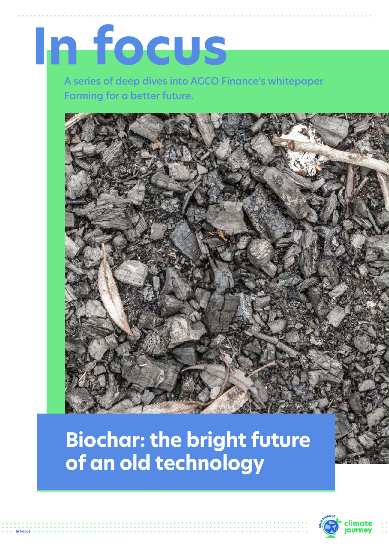# **In focus**

A series of deep dives into AGCO Finance's whitepaper Farming for a better future.



# **Biochar: the bright future of an old technology**

**In Focus**

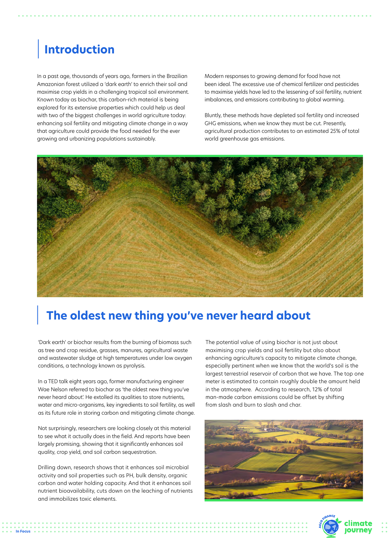# | **Introduction**

In a past age, thousands of years ago, farmers in the Brazilian Amazonian forest utilized a 'dark earth' to enrich their soil and maximise crop yields in a challenging tropical soil environment. Known today as biochar, this carbon-rich material is being explored for its extensive properties which could help us deal with two of the biggest challenges in world agriculture today: enhancing soil fertility and mitigating climate change in a way that agriculture could provide the food needed for the ever growing and urbanizing populations sustainably.

Modern responses to growing demand for food have not been ideal. The excessive use of chemical fertilizer and pesticides to maximise yields have led to the lessening of soil fertility, nutrient imbalances, and emissions contributing to global warming.

Bluntly, these methods have depleted soil fertility and increased GHG emissions, when we know they must be cut. Presently, agricultural production contributes to an estimated 25% of total world greenhouse gas emissions.



## | **The oldest new thing you've never heard about**

'Dark earth' or biochar results from the burning of biomass such as tree and crop residue, grasses, manures, agricultural waste and wastewater sludge at high temperatures under low oxygen conditions, a technology known as pyrolysis.

In a TED talk eight years ago, former manufacturing engineer Wae Nelson referred to biochar as 'the oldest new thing you've never heard about'. He extolled its qualities to store nutrients, water and micro-organisms, key ingredients to soil fertility, as well as its future role in storing carbon and mitigating climate change.

Not surprisingly, researchers are looking closely at this material to see what it actually does in the field. And reports have been largely promising, showing that it significantly enhances soil quality, crop yield, and soil carbon sequestration.

Drilling down, research shows that it enhances soil microbial activity and soil properties such as PH, bulk density, organic carbon and water holding capacity. And that it enhances soil nutrient bioavailability, cuts down on the leaching of nutrients and immobilizes toxic elements.

**In Focus**

The potential value of using biochar is not just about maximising crop yields and soil fertility but also about enhancing agriculture's capacity to mitigate climate change, especially pertinent when we know that the world's soil is the largest terrestrial reservoir of carbon that we have. The top one meter is estimated to contain roughly double the amount held in the atmosphere. According to research, 12% of total man-made carbon emissions could be offset by shifting from slash and burn to slash and char.